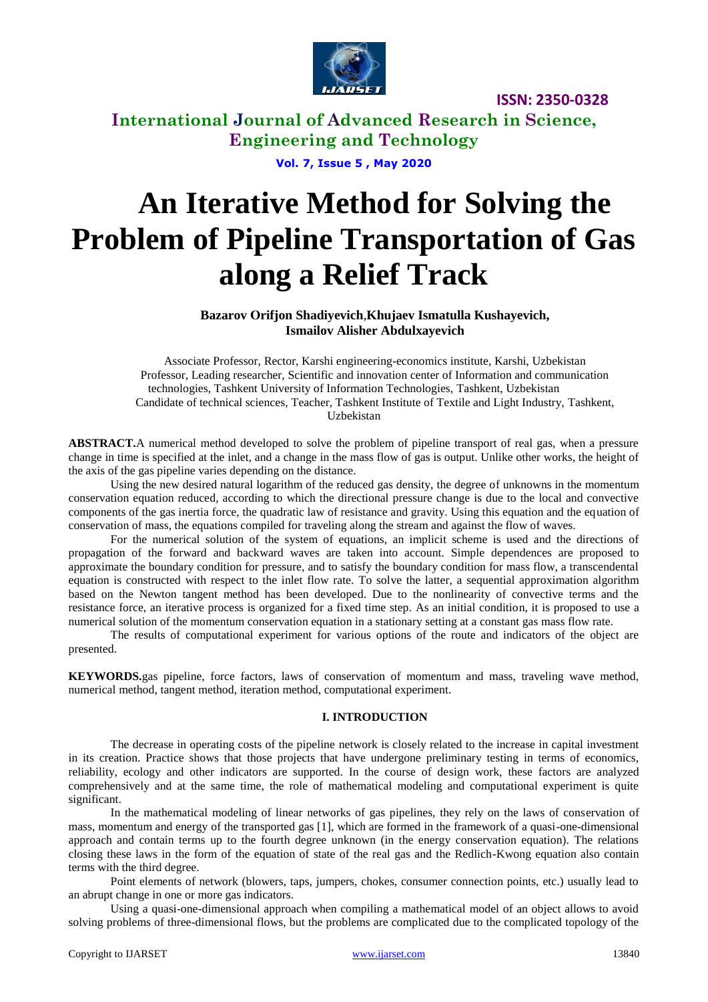

**International Journal of Advanced Research in Science, Engineering and Technology**

**Vol. 7, Issue 5 , May 2020**

# **An Iterative Method for Solving the Problem of Pipeline Transportation of Gas along a Relief Track**

### **Bazarov Оrifjon Shadiyevich**,**Khujaev Ismatulla Kushayevich, Ismailov Alisher Abdulxayevich**

Associate Professor, Rector, Karshi engineering-economics institute, Karshi, Uzbekistan Professor, Leading researcher, Scientific and innovation center of Information and communication technologies, Tashkent University of Information Technologies, Tashkent, Uzbekistan Candidate of technical sciences, Teacher, Tashkent Institute of Textile and Light Industry, Tashkent, Uzbekistan

**ABSTRACT.**A numerical method developed to solve the problem of pipeline transport of real gas, when a pressure change in time is specified at the inlet, and a change in the mass flow of gas is output. Unlike other works, the height of the axis of the gas pipeline varies depending on the distance.

Using the new desired natural logarithm of the reduced gas density, the degree of unknowns in the momentum conservation equation reduced, according to which the directional pressure change is due to the local and convective components of the gas inertia force, the quadratic law of resistance and gravity. Using this equation and the equation of conservation of mass, the equations compiled for traveling along the stream and against the flow of waves.

For the numerical solution of the system of equations, an implicit scheme is used and the directions of propagation of the forward and backward waves are taken into account. Simple dependences are proposed to approximate the boundary condition for pressure, and to satisfy the boundary condition for mass flow, a transcendental equation is constructed with respect to the inlet flow rate. To solve the latter, a sequential approximation algorithm based on the Newton tangent method has been developed. Due to the nonlinearity of convective terms and the resistance force, an iterative process is organized for a fixed time step. As an initial condition, it is proposed to use a numerical solution of the momentum conservation equation in a stationary setting at a constant gas mass flow rate.

The results of computational experiment for various options of the route and indicators of the object are presented.

**KEYWORDS.**gas pipeline, force factors, laws of conservation of momentum and mass, traveling wave method, numerical method, tangent method, iteration method, computational experiment.

### **I. INTRODUCTION**

The decrease in operating costs of the pipeline network is closely related to the increase in capital investment in its creation. Practice shows that those projects that have undergone preliminary testing in terms of economics, reliability, ecology and other indicators are supported. In the course of design work, these factors are analyzed comprehensively and at the same time, the role of mathematical modeling and computational experiment is quite significant.

In the mathematical modeling of linear networks of gas pipelines, they rely on the laws of conservation of mass, momentum and energy of the transported gas [1], which are formed in the framework of a quasi-one-dimensional approach and contain terms up to the fourth degree unknown (in the energy conservation equation). The relations closing these laws in the form of the equation of state of the real gas and the Redlich-Kwong equation also contain terms with the third degree.

Point elements of network (blowers, taps, jumpers, chokes, consumer connection points, etc.) usually lead to an abrupt change in one or more gas indicators.

Using a quasi-one-dimensional approach when compiling a mathematical model of an object allows to avoid solving problems of three-dimensional flows, but the problems are complicated due to the complicated topology of the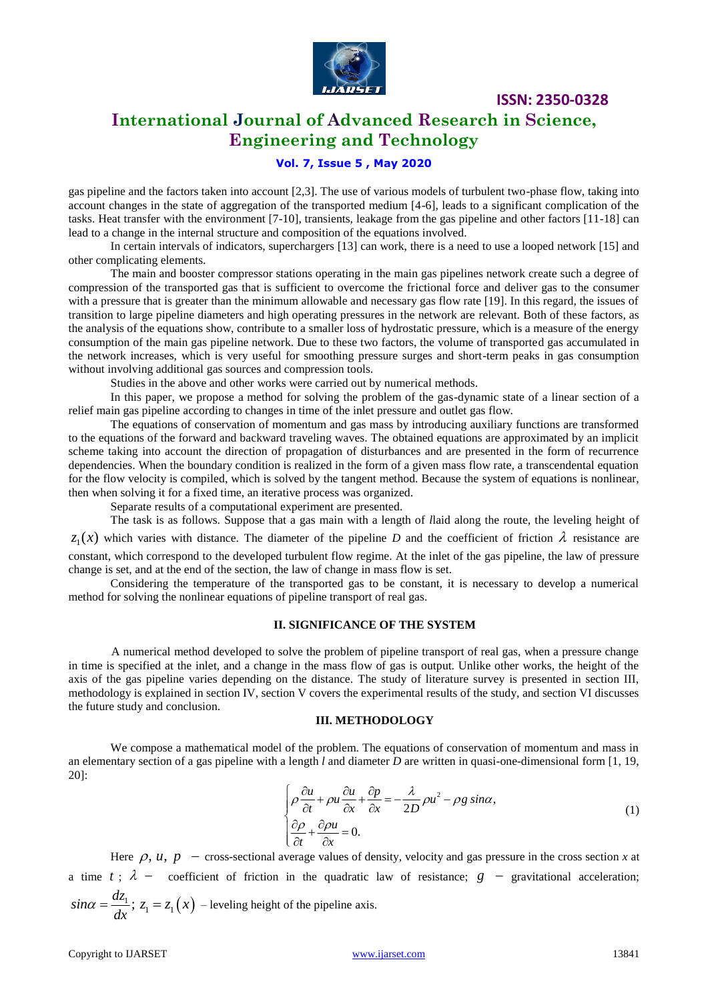

### **International Journal of Advanced Research in Science, Engineering and Technology**

### **Vol. 7, Issue 5 , May 2020**

gas pipeline and the factors taken into account [2,3]. The use of various models of turbulent two-phase flow, taking into account changes in the state of aggregation of the transported medium [4-6], leads to a significant complication of the tasks. Heat transfer with the environment [7-10], transients, leakage from the gas pipeline and other factors [11-18] can lead to a change in the internal structure and composition of the equations involved.

In certain intervals of indicators, superchargers [13] can work, there is a need to use a looped network [15] and other complicating elements.

The main and booster compressor stations operating in the main gas pipelines network create such a degree of compression of the transported gas that is sufficient to overcome the frictional force and deliver gas to the consumer with a pressure that is greater than the minimum allowable and necessary gas flow rate [19]. In this regard, the issues of transition to large pipeline diameters and high operating pressures in the network are relevant. Both of these factors, as the analysis of the equations show, contribute to a smaller loss of hydrostatic pressure, which is a measure of the energy consumption of the main gas pipeline network. Due to these two factors, the volume of transported gas accumulated in the network increases, which is very useful for smoothing pressure surges and short-term peaks in gas consumption without involving additional gas sources and compression tools.

Studies in the above and other works were carried out by numerical methods.

In this paper, we propose a method for solving the problem of the gas-dynamic state of a linear section of a relief main gas pipeline according to changes in time of the inlet pressure and outlet gas flow.

The equations of conservation of momentum and gas mass by introducing auxiliary functions are transformed to the equations of the forward and backward traveling waves. The obtained equations are approximated by an implicit scheme taking into account the direction of propagation of disturbances and are presented in the form of recurrence dependencies. When the boundary condition is realized in the form of a given mass flow rate, a transcendental equation for the flow velocity is compiled, which is solved by the tangent method. Because the system of equations is nonlinear, then when solving it for a fixed time, an iterative process was organized.

Separate results of a computational experiment are presented.

The task is as follows. Suppose that a gas main with a length of *l*laid along the route, the leveling height of

 $z_1(x)$  which varies with distance. The diameter of the pipeline *D* and the coefficient of friction  $\lambda$  resistance are constant, which correspond to the developed turbulent flow regime. At the inlet of the gas pipeline, the law of pressure change is set, and at the end of the section, the law of change in mass flow is set.

Considering the temperature of the transported gas to be constant, it is necessary to develop a numerical method for solving the nonlinear equations of pipeline transport of real gas.

#### **II. SIGNIFICANCE OF THE SYSTEM**

A numerical method developed to solve the problem of pipeline transport of real gas, when a pressure change in time is specified at the inlet, and a change in the mass flow of gas is output. Unlike other works, the height of the axis of the gas pipeline varies depending on the distance. The study of literature survey is presented in section III, methodology is explained in section IV, section V covers the experimental results of the study, and section VI discusses the future study and conclusion.

#### **III. METHODOLOGY**

We compose a mathematical model of the problem. The equations of conservation of momentum and mass in an elementary section of a gas pipeline with a length *l* and diameter *D* are written in quasi-one-dimensional form [1, 19, 20]:

$$
\begin{cases}\n\rho \frac{\partial u}{\partial t} + \rho u \frac{\partial u}{\partial x} + \frac{\partial p}{\partial x} = -\frac{\lambda}{2D} \rho u^2 - \rho g \sin \alpha, \\
\frac{\partial \rho}{\partial t} + \frac{\partial \rho u}{\partial x} = 0.\n\end{cases}
$$
\n(1)

Here  $\rho$ ,  $u$ ,  $p$  - cross-sectional average values of density, velocity and gas pressure in the cross section *x* at a time  $t$ ;  $\lambda$  - coefficient of friction in the quadratic law of resistance;  $g$  - gravitational acceleration;  $sin\alpha = \frac{dz_1}{dz_1};$  $\alpha = \frac{dz_1}{dx}$ ;  $z_1 = z_1(x)$  – leveling height of the pipeline axis.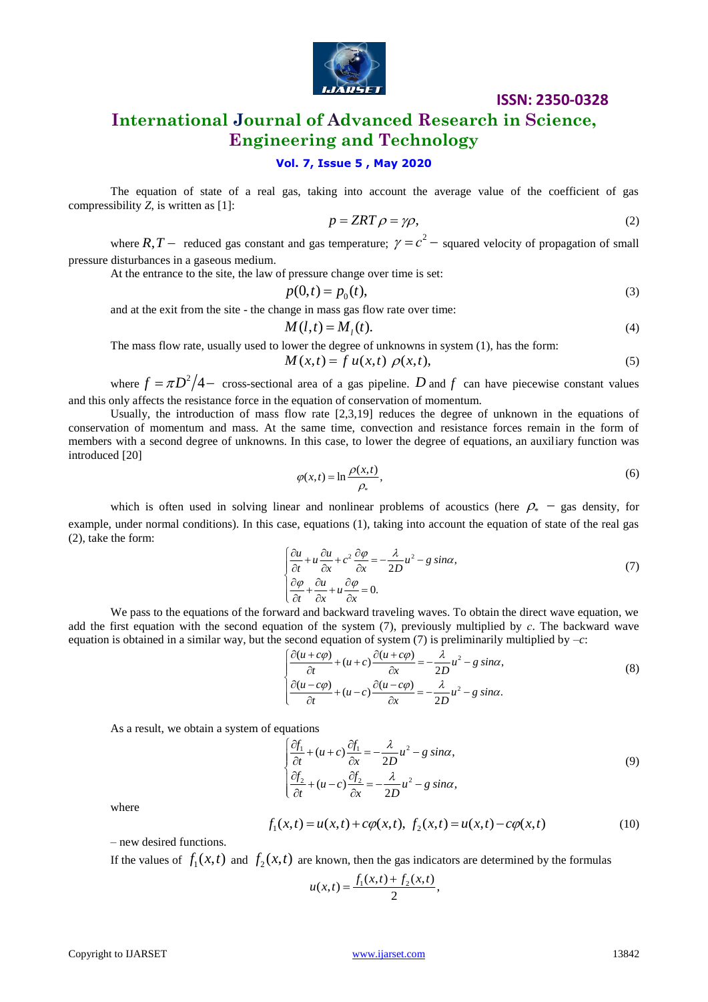

(4)

### **International Journal of Advanced Research in Science, Engineering and Technology**

### **Vol. 7, Issue 5 , May 2020**

The equation of state of a real gas, taking into account the average value of the coefficient of gas compressibility *Z*, is written as [1]:

$$
p = ZRT \rho = \gamma \rho, \tag{2}
$$

where  $R, T$  – reduced gas constant and gas temperature;  $\gamma = c^2$  – squared velocity of propagation of small pressure disturbances in a gaseous medium.

At the entrance to the site, the law of pressure change over time is set:

$$
p(0,t) = p_0(t),
$$
\n(3)

and at the exit from the site - the change in mass gas flow rate over time:

$$
M(l,t) = Ml(t).
$$

The mass flow rate, usually used to lower the degree of unknowns in system (1), has the form:<br> $M(x,t) = f u(x,t) \rho(x,t)$ ,

$$
M(x,t) = f u(x,t) \rho(x,t), \qquad (5)
$$

where  $f = \pi D^2/4$  - cross-sectional area of a gas pipeline. D and f can have piecewise constant values and this only affects the resistance force in the equation of conservation of momentum.

Usually, the introduction of mass flow rate [2,3,19] reduces the degree of unknown in the equations of conservation of momentum and mass. At the same time, convection and resistance forces remain in the form of members with a second degree of unknowns. In this case, to lower the degree of equations, an auxiliary function was introduced [20]

$$
\varphi(x,t) = \ln \frac{\rho(x,t)}{\rho_*},\tag{6}
$$

which is often used in solving linear and nonlinear problems of acoustics (here  $\rho_*$  – gas density, for example, under normal conditions). In this case, equations (1), taking into account the equation of state of the real gas (2), take the form:

$$
\begin{cases}\n\frac{\partial u}{\partial t} + u \frac{\partial u}{\partial x} + c^2 \frac{\partial \varphi}{\partial x} = -\frac{\lambda}{2D} u^2 - g \sin \alpha, \\
\frac{\partial \varphi}{\partial t} + \frac{\partial u}{\partial x} + u \frac{\partial \varphi}{\partial x} = 0.\n\end{cases}
$$
\n(7)

We pass to the equations of the forward and backward traveling waves. To obtain the direct wave equation, we add the first equation with the second equation of the system (7), previously multiplied by *с*. The backward wave

equation is obtained in a similar way, but the second equation of system (7), previously multiplied by -c:  
\nequation is obtained in a similar way, but the second equation of system (7) is preliminary multiplied by -c:  
\n
$$
\frac{\partial (u + c\varphi)}{\partial t} + (u + c) \frac{\partial (u + c\varphi)}{\partial x} = -\frac{\lambda}{2D} u^2 - g \sin \alpha,
$$
\n(8)

As a result, we obtain a system of equations<br> $\left[\frac{\partial f_1}{\partial t_1 + (u+c)}\frac{\partial f_1}{\partial t_2}\right]$ 

quations  
\n
$$
\begin{cases}\n\frac{\partial f_1}{\partial t} + (u+c)\frac{\partial f_1}{\partial x} = -\frac{\lambda}{2D}u^2 - g \sin \alpha, \\
\frac{\partial f_2}{\partial t} + (u-c)\frac{\partial f_2}{\partial x} = -\frac{\lambda}{2D}u^2 - g \sin \alpha,\n\end{cases}
$$
\n(9)

where

$$
f_1(x,t) = u(x,t) + c\varphi(x,t), \ f_2(x,t) = u(x,t) - c\varphi(x,t)
$$
 (10)

– new desired functions.

If the values of  $f_1(x,t)$  and  $f_2(x,t)$  are known, then the gas indicators are determined by the formulas

$$
u(x,t) = \frac{f_1(x,t) + f_2(x,t)}{2},
$$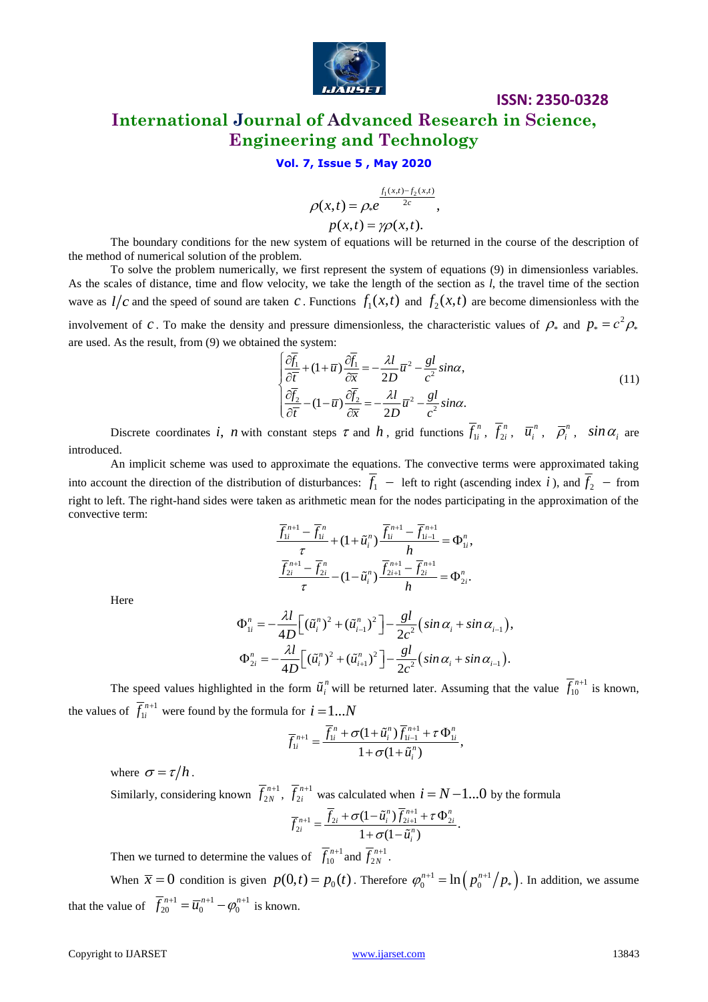

## **International Journal of Advanced Research in Science, Engineering and Technology**

### **Vol. 7, Issue 5 , May 2020**

$$
\rho(x,t) = \rho_* e^{\frac{f_1(x,t) - f_2(x,t)}{2c}},
$$

$$
p(x,t) = \gamma \rho(x,t).
$$

The boundary conditions for the new system of equations will be returned in the course of the description of the method of numerical solution of the problem.

To solve the problem numerically, we first represent the system of equations (9) in dimensionless variables. As the scales of distance, time and flow velocity, we take the length of the section as *l*, the travel time of the section wave as  $l/c$  and the speed of sound are taken c. Functions  $f_1(x,t)$  and  $f_2(x,t)$  are become dimensionless with the involvement of c. To make the density and pressure dimensionless, the characteristic values of  $\rho_*$  and  $p_* = c^2 \rho_*$ 

are used. As the result, from (9) we obtained the system:  
\n
$$
\begin{cases}\n\frac{\partial \overline{f_1}}{\partial \overline{t}} + (1 + \overline{u}) \frac{\partial \overline{f_1}}{\partial \overline{x}} = -\frac{\lambda l}{2D} \overline{u}^2 - \frac{gl}{c^2} \sin \alpha, \\
\frac{\partial \overline{f_2}}{\partial \overline{t}} - (1 - \overline{u}) \frac{\partial \overline{f_2}}{\partial \overline{x}} = -\frac{\lambda l}{2D} \overline{u}^2 - \frac{gl}{c^2} \sin \alpha.\n\end{cases}
$$
\n(11)

**ISSN: 2350-0328**

Discrete coordinates *i*, *n* with constant steps  $\tau$  and *h*, grid functions  $f_1$ *n*  $f_{1i}^n$ ,  $f_2$ *n*  $\overline{f}_{2i}^n$ ,  $\overline{u}_i^n$ ,  $\overline{\rho}_i^n$ ,  $\sin \alpha_i$  are introduced.

An implicit scheme was used to approximate the equations. The convective terms were approximated taking into account the direction of the distribution of disturbances:  $f_1$  – left to right (ascending index i), and  $f_2$  – from right to left. The right-hand sides were taken as arithmetic mean for the nodes participating in the approximation of the convective term:

$$
\frac{\overline{f}_{1i}^{n+1} - \overline{f}_{1i}^{n}}{\tau} + (1 + \tilde{u}_{i}^{n}) \frac{\overline{f}_{1i}^{n+1} - \overline{f}_{1i-1}^{n+1}}{h} = \Phi_{1i}^{n},
$$
\n
$$
\frac{\overline{f}_{2i}^{n+1} - \overline{f}_{2i}^{n}}{\tau} - (1 - \tilde{u}_{i}^{n}) \frac{\overline{f}_{2i+1}^{n+1} - \overline{f}_{2i}^{n+1}}{h} = \Phi_{2i}^{n}.
$$

Here

$$
\tau \qquad h
$$
  
\n
$$
\Phi_{1i}^{n} = -\frac{\lambda l}{4D} \Big[ (\tilde{u}_{i}^{n})^{2} + (\tilde{u}_{i-1}^{n})^{2} \Big] - \frac{gl}{2c^{2}} \Big( \sin \alpha_{i} + \sin \alpha_{i-1} \Big),
$$
  
\n
$$
\Phi_{2i}^{n} = -\frac{\lambda l}{4D} \Big[ (\tilde{u}_{i}^{n})^{2} + (\tilde{u}_{i+1}^{n})^{2} \Big] - \frac{gl}{2c^{2}} \Big( \sin \alpha_{i} + \sin \alpha_{i-1} \Big).
$$

The speed values highlighted in the form  $\tilde{u}_i^n$  will be returned later. Assuming that the value  $\overline{f}_{10}^{n+1}$ 10  $\overline{f}_{10}^{n+1}$  is known, the values of  $\overline{f}_{1i}^{n+1}$ 1 *n*  $\overline{f}_{1i}^{n+1}$  were found by the formula for  $i=1...N$ 

$$
\overline{f}_{1i}^{n+1} = \frac{\overline{f}_{1i}^{n} + \sigma(1 + \tilde{u}_{i}^{n}) \overline{f}_{1i-1}^{n+1} + \tau \Phi_{1i}^{n}}{1 + \sigma(1 + \tilde{u}_{i}^{n})},
$$

where  $\sigma = \tau/h$ .

Similarly, considering known  $\overline{f}_{2N}^{n+1}$ 2 *n*  $\overline{f}_{2N}^{\,n+1}$ ,  $\overline{f}_{2i}^{\,n+1}$ 2 *n*  $\overline{f}_{2i}^{n+1}$  was calculated when  $i = N-1...0$  by the formula<br>  $\overline{f}_{2i}^{n+1} = \frac{\overline{f}_{2i} + \sigma(1 - \tilde{u}_i^n) \overline{f}_{2i+1}^{n+1} + \tau \Phi_{2i}^n}{\overline{f}_{2i}^{n+1}}$ .

$$
\overline{f}_{2i}^{n+1} = \frac{\overline{f}_{2i} + \sigma (1 - \tilde{u}_i^n) \overline{f}_{2i+1}^{n+1} + \tau \Phi_{2i}^n}{1 + \sigma (1 - \tilde{u}_i^n)}.
$$

Then we turned to determine the values of  $\int_{10}^{\pi}$ <sup>11</sup> 10  $\overline{f}_{10}^{n+1}$  and  $\overline{f}_{2N}^{n+1}$ 2 *n*  $\overline{f}_{2N}^{\,n+1}$  .

When  $\bar{x} = 0$  condition is given  $p(0,t) = p_0(t)$ . Therefore  $\varphi_0^{n+1} = \ln (p_0^{n+1}/p_*)$ . In addition, we assume that the value of  $\bar{f}_{20}^{n+1} = \bar{u}_0^{n+1} - \varphi_0^{n+1}$  $\overline{f}_{20}^{n+1} = \overline{u}_0^{n+1} - \varphi_0^{n+1}$  is known.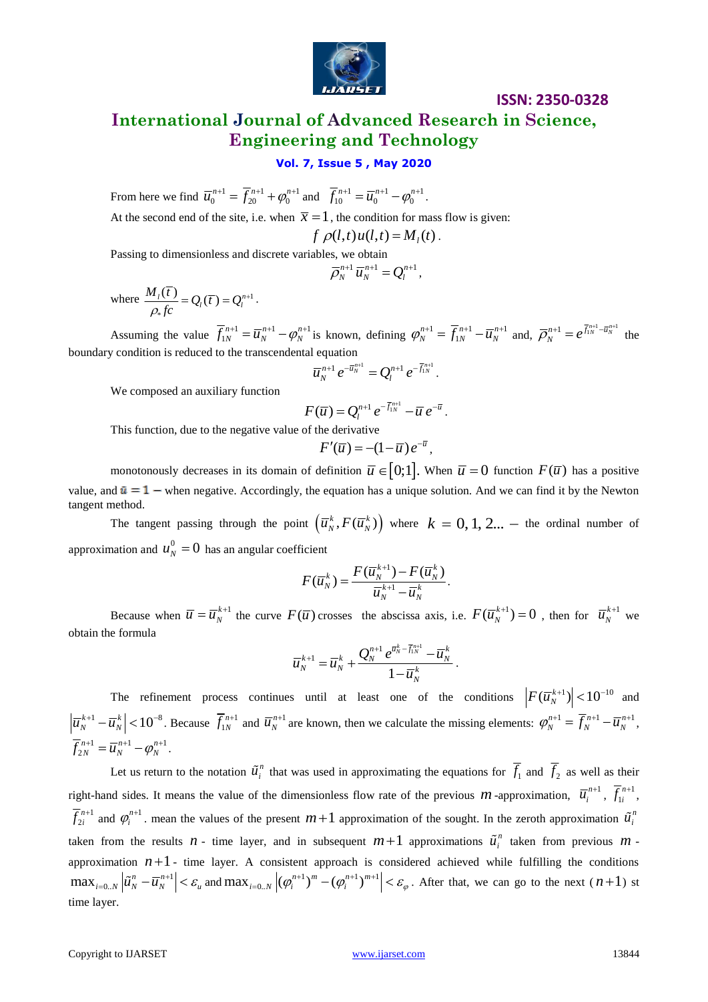

### **International Journal of Advanced Research in Science, Engineering and Technology**

### **Vol. 7, Issue 5 , May 2020**

From here we find  $\bar{u}_0^{n+1} = \bar{f}_{20}^{n+1} + \varphi_0^{n+1}$  $\overline{u}_0^{n+1} = \overline{f}_{20}^{n+1} + \varphi_0^{n+1}$  and  $\overline{f}_{10}^{n+1} = \overline{u}_0^{n+1} - \varphi_0^{n+1}$  $\overline{f}_{10}^{n+1} = \overline{u}_{0}^{n+1} - \varphi_{0}^{n+1}.$ At the second end of the site, i.e. when  $\bar{x} = 1$ , the condition for mass flow is given:  $\int \rho(l,t) u(l,t) = M_l(t)$ .

Passing to dimensionless and discrete variables, we obtain

$$
\overline{\rho}_N^{n+1} \overline{u}_N^{n+1} = Q_l^{n+1},
$$

where 
$$
\frac{M_l(\overline{t})}{\rho_* f c} = Q_l(\overline{t}) = Q_l^{n+1}
$$
.

Assuming the value  $\overline{f}_{1N}^{n+1} = \overline{u}_N^{n+1} - \varphi_N^{n+1}$ 1  $\overline{f}_{1N}^{n+1} = \overline{u}_{N}^{n+1} - \varphi_{N}^{n+1}$  is known, defining  $\varphi_{N}^{n+1} = \overline{f}_{1N}^{n+1} - \overline{u}_{N}^{n+1}$ 1  $\varphi_N^{n+1} = \overline{f}_{1N}^{n+1} - \overline{u}_N^{n+1}$  and,  $\overline{\rho}_N^{n+1} = e^{\overline{f}_{1N}^{n+1} - \overline{u}_N^{n+1}}$  the boundary condition is reduced to the transcendental equation

$$
\overline{u}_{N}^{n+1} e^{-\overline{u}_{N}^{n+1}} = Q_{l}^{n+1} e^{-\overline{f}_{1N}^{n+1}}.
$$

We composed an auxiliary function

$$
F(\overline{u})=Q_l^{n+1}e^{-\overline{f}_{1N}^{n+1}}-\overline{u}e^{-\overline{u}}.
$$

This function, due to the negative value of the derivative

$$
F'(\overline{u}) = -(1-\overline{u})e^{-\overline{u}},
$$

monotonously decreases in its domain of definition  $\overline{u} \in [0;1]$ . When  $\overline{u} = 0$  function  $F(\overline{u})$  has a positive value, and  $\bar{u} = 1$  – when negative. Accordingly, the equation has a unique solution. And we can find it by the Newton tangent method.

The tangent passing through the point  $(\bar{u}_N^k, F(\bar{u}_N^k))$  where  $k = 0, 1, 2...$  – the ordinal number of approximation and  $u_N^0 = 0$  has an angular coefficient

$$
F(\overline{u}_N^k) = \frac{F(\overline{u}_N^{k+1}) - F(\overline{u}_N^k)}{\overline{u}_N^{k+1} - \overline{u}_N^k}.
$$

Because when  $\overline{u} = \overline{u}_{N}^{k+1}$  $\overline{u} = \overline{u}_N^{k+1}$  the curve  $F(\overline{u})$  crosses the abscissa axis, i.e.  $F(\overline{u}_N^{k+1}) = 0$ , then for  $\overline{u}_N^{k+1}$  $\overline{u}_N^{k+1}$  we obtain the formula

$$
\overline{u}_{N}^{k+1} = \overline{u}_{N}^{k} + \frac{Q_{N}^{n+1} e^{\overline{u}_{N}^{k} - \overline{f}_{1N}^{n+1}} - \overline{u}_{N}^{k}}{1 - \overline{u}_{N}^{k}}
$$

.

The refinement process continues until at least one of the conditions  $|F(\bar{u}_{N}^{k+1})| < 10^{-10}$  and  $|\overline{u}_{N}^{k+1} - \overline{u}_{N}^{k}|$  < 10<sup>-8</sup>. Because  $|\overline{f}_{1N}^{n+1}|$ 1 *n*  $\overline{f}_{1N}^{n+1}$  and  $\overline{u}_{N}^{n+1}$  $\overline{u}_N^{n+1}$  are known, then we calculate the missing elements:  $\varphi_N^{n+1} = \overline{f}_N^{n+1} - \overline{u}_N^{n+1}$ ,  $1 - \frac{1}{n+1}$   $\alpha^{n+1}$ 2  $\overline{f}_{2N}^{n+1} = \overline{u}_{N}^{n+1} - \varphi_{N}^{n+1}.$ 

Let us return to the notation  $\tilde{u}_i^n$  that was used in approximating the equations for  $\overline{f}_1$  and  $\overline{f}_2$  as well as their right-hand sides. It means the value of the dimensionless flow rate of the previous *m*-approximation,  $\overline{u}_{i}^{n+1}$  $\overline{u}_i^{n+1}$ ,  $\overline{f}_{1i}^{n+1}$ 1 *n*  $\overline{f}_{1i}^{n+1}$ , 1 2 *n*  $\bar{f}_{2i}^{n+1}$  and  $\varphi_i^{n+1}$ . mean the values of the present  $m+1$  approximation of the sought. In the zeroth approximation  $\tilde{u}_i^n$ taken from the results  $n$  - time layer, and in subsequent  $m+1$  approximations  $\tilde{u}_i^n$  taken from previous  $m$  approximation  $n+1$ - time layer. A consistent approach is considered achieved while fulfilling the conditions  $\max_{i=0..N} \left| \tilde{u}_N^n - \overline{u}_N^{n+1} \right| < \varepsilon$ <sub>u</sub> ximation  $n+1$  - time layer. A consistent approach is considered achieved while fulfilling the conditions  $\left| \tilde{u}_N^n - \overline{u}_N^{n+1} \right| < \varepsilon_u$  and  $\max_{i=0..N} \left| \left( \varphi_i^{n+1} \right)^m - \left( \varphi_i^{n+1} \right)^{m+1} \right| < \varepsilon_\varphi$ . After that, time layer.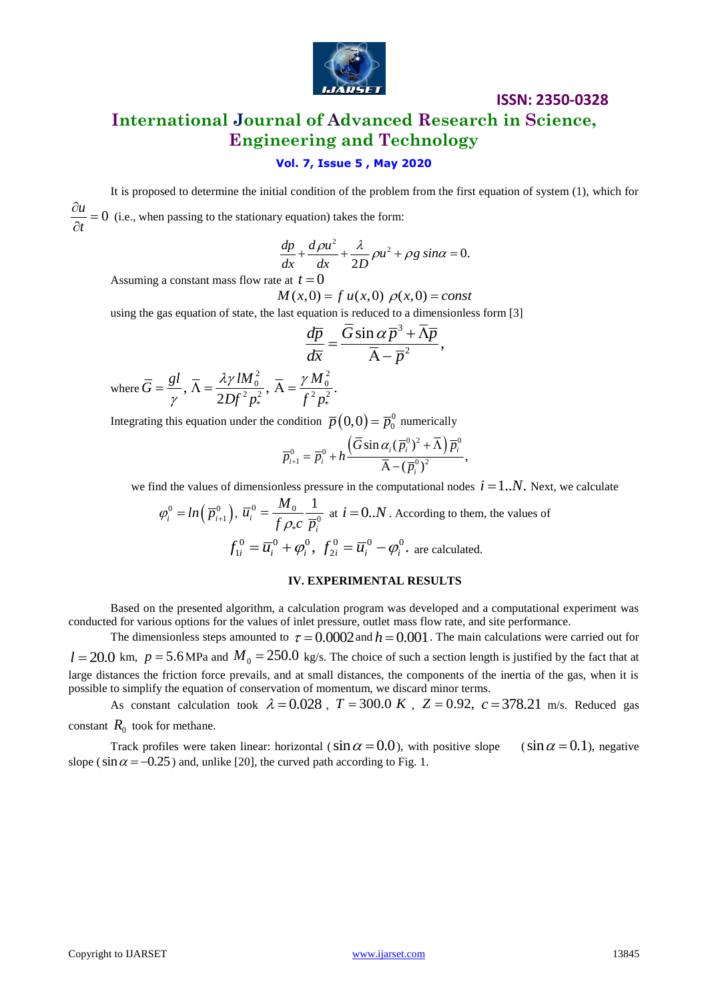

### **International Journal of Advanced Research in Science, Engineering and Technology**

### **Vol. 7, Issue 5 , May 2020**

It is proposed to determine the initial condition of the problem from the first equation of system (1), which for  $\frac{u}{x} = 0$ *t*  $\frac{\partial u}{\partial t} =$  $\frac{\partial u}{\partial t} = 0$  (i.e., when passing to the stationary equation) takes the form:

$$
\frac{dp}{dx} + \frac{d\rho u^2}{dx} + \frac{\lambda}{2D}\rho u^2 + \rho g \sin\alpha = 0.
$$

Assuming a constant mass flow rate at  $t = 0$ 

e at 
$$
t = 0
$$
  
\n $M(x, 0) = f u(x, 0) \rho(x, 0) = const$ 

using the gas equation of state, the last equation is reduced to a dimensionless form [3]

$$
\frac{d\overline{p}}{d\overline{x}} = \frac{\overline{G}\sin\alpha\,\overline{p}^3 + \overline{\Lambda}\overline{p}}{\overline{A} - \overline{p}^2},
$$

where  $\overline{G} = \frac{gl}{d}$ , γ  $=$ 2 0  $2 \times 2$ \* , 2 *lM*  $Df^2p$  $\overline{\Lambda} = \frac{\lambda \gamma}{\sqrt{2}}$ 2  $\mathbf{0}$  $2n^2$ \*  $M_{0}^{2}$ <sub>2</sub>.  $f^2p$  $\overline{A} = \frac{\gamma}{2}$ 

Integrating this equation under the condition  $\overline{p}(0,0) = \overline{p}_0^0$  numerically<br> $\overline{p}_0^0 = \frac{1}{\sqrt{2\pi}} \left( \overline{G} \sin \alpha_i (\overline{p}_i^0)^2 + \overline{\Lambda} \right) \overline{p}_i^0$ 

$$
\overline{p}_{i+1}^0 = \overline{p}_{i}^0 + h \frac{\left(\overline{G} \sin \alpha_{i} (\overline{p}_{i}^0)^2 + \overline{\Lambda}\right) \overline{p}_{i}^0}{\overline{\Lambda} - (\overline{p}_{i}^0)^2},
$$

we find the values of dimensionless pressure in the computational nodes  $i = 1..N$ . Next, we calculate

$$
\varphi_i^0 = \ln\left(\overline{p}_{i+1}^0\right), \ \overline{u}_i^0 = \frac{M_0}{f \rho_{*c}} \frac{1}{\overline{p}_i^0} \text{ at } i = 0..N. \text{ According to them, the values of}
$$

$$
f_{1i}^0 = \overline{u}_i^0 + \varphi_i^0, \ f_{2i}^0 = \overline{u}_i^0 - \varphi_i^0. \text{ are calculated.}
$$

#### **IV. EXPERIMENTAL RESULTS**

Based on the presented algorithm, a calculation program was developed and a computational experiment was conducted for various options for the values of inlet pressure, outlet mass flow rate, and site performance.

The dimensionless steps amounted to  $\tau = 0.0002$  and  $h = 0.001$ . The main calculations were carried out for  $l = 20.0$  km,  $p = 5.6$  MPa and  $M_0 = 250.0$  kg/s. The choice of such a section length is justified by the fact that at large distances the friction force prevails, and at small distances, the components of the inertia of the gas, when it is possible to simplify the equation of conservation of momentum, we discard minor terms.

As constant calculation took  $\lambda = 0.028$ ,  $T = 300.0$  K,  $Z = 0.92$ ,  $c = 378.21$  m/s. Reduced gas constant  $R_0$  took for methane.

Track profiles were taken linear: horizontal ( $\sin \alpha = 0.0$ ), with positive slope ( $\sin \alpha = 0.1$ ), negative slope ( $\sin \alpha = -0.25$ ) and, unlike [20], the curved path according to Fig. 1.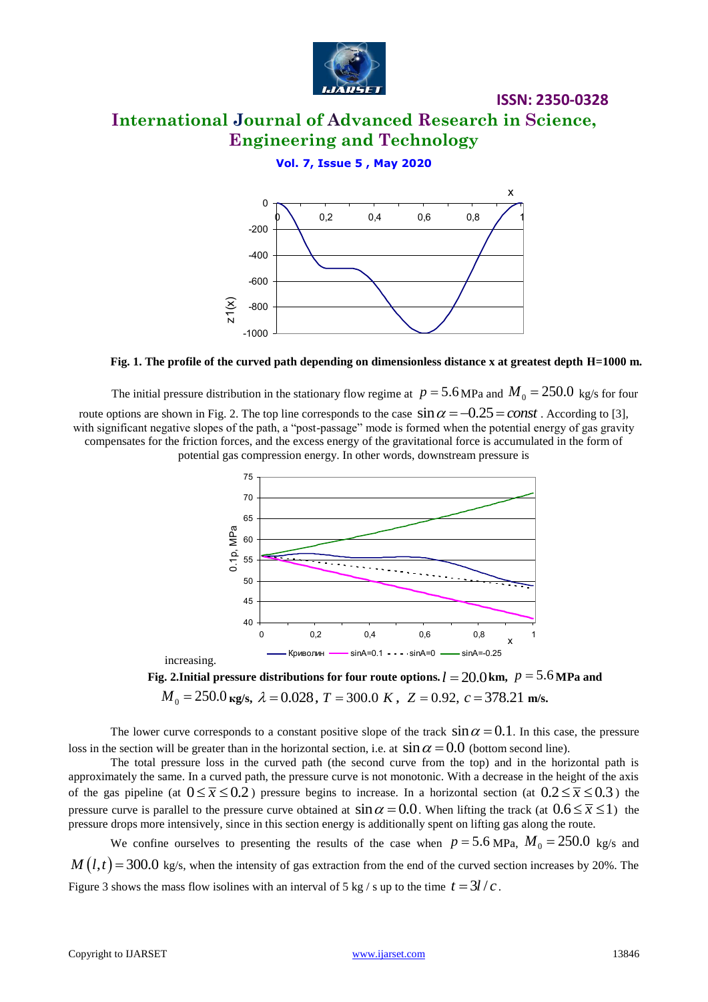

### **International Journal of Advanced Research in Science, Engineering and Technology**

### **Vol. 7, Issue 5 , May 2020**



#### **Fig. 1. The profile of the curved path depending on dimensionless distance x at greatest depth Н=1000 m.**

The initial pressure distribution in the stationary flow regime at  $p = 5.6$  MPa and  $M_0 = 250.0$  kg/s for four route options are shown in Fig. 2. The top line corresponds to the case  $\sin \alpha = -0.25 = const$ . According to [3], with significant negative slopes of the path, a "post-passage" mode is formed when the potential energy of gas gravity compensates for the friction forces, and the excess energy of the gravitational force is accumulated in the form of potential gas compression energy. In other words, downstream pressure is



Fig. 2.Initial pressure distributions for four route options.  $l = 20.0$  km,  $p = 5.6$  MPa and  $M_0 = 250.0$  kg/s,  $\lambda = 0.028$ ,  $T = 300.0$  K,  $Z = 0.92$ ,  $c = 378.21$  m/s.

The lower curve corresponds to a constant positive slope of the track  $\sin \alpha = 0.1$ . In this case, the pressure loss in the section will be greater than in the horizontal section, i.e. at  $\sin \alpha = 0.0$  (bottom second line).

The total pressure loss in the curved path (the second curve from the top) and in the horizontal path is approximately the same. In a curved path, the pressure curve is not monotonic. With a decrease in the height of the axis of the gas pipeline (at  $0 \le \bar{x} \le 0.2$ ) pressure begins to increase. In a horizontal section (at  $0.2 \le \bar{x} \le 0.3$ ) the pressure curve is parallel to the pressure curve obtained at  $\sin \alpha = 0.0$ . When lifting the track (at  $0.6 \le \bar{x} \le 1$ ) the pressure drops more intensively, since in this section energy is additionally spent on lifting gas along the route.

We confine ourselves to presenting the results of the case when  $p = 5.6 \text{ MPa}$ ,  $M_0 = 250.0 \text{ kg/s}$  and  $M(l,t) = 300.0$  kg/s, when the intensity of gas extraction from the end of the curved section increases by 20%. The Figure 3 shows the mass flow isolines with an interval of 5 kg / s up to the time  $t = 3l/c$ .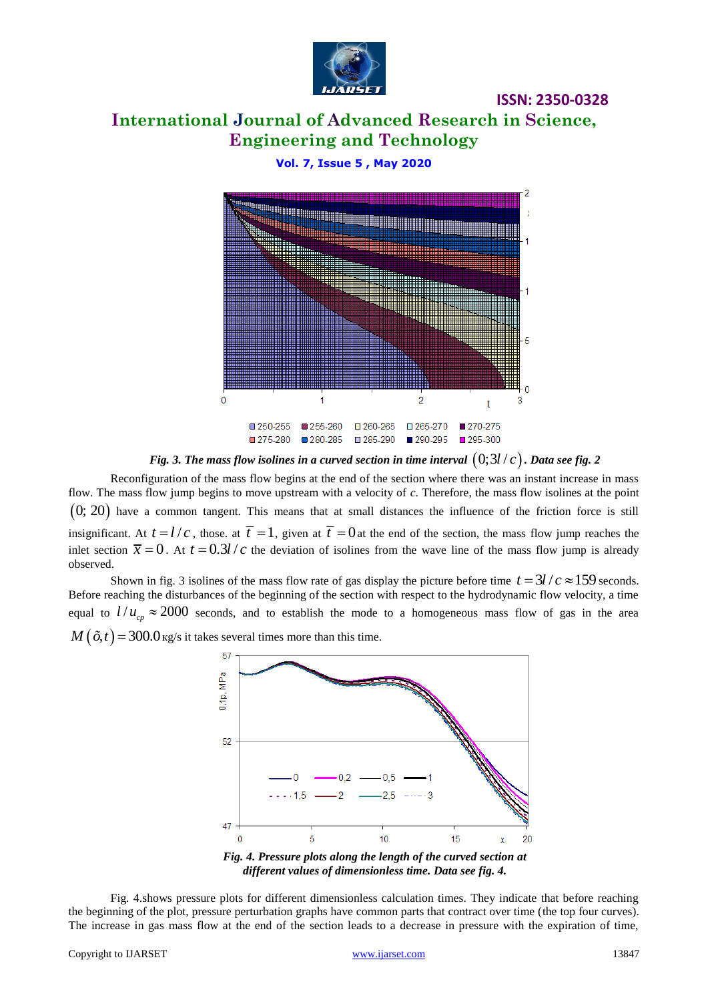

# **International Journal of Advanced Research in Science, Engineering and Technology**

**ISSN: 2350-0328**

**Vol. 7, Issue 5 , May 2020**



Fig. 3. The mass flow isolines in a curved section in time interval  $(0;3l/c)$  . Data see fig. 2

Reconfiguration of the mass flow begins at the end of the section where there was an instant increase in mass flow. The mass flow jump begins to move upstream with a velocity of *c*. Therefore, the mass flow isolines at the point  $(0; 20)$  have a common tangent. This means that at small distances the influence of the friction force is still insignificant. At  $t = l/c$ , those. at  $\overline{t} = 1$ , given at  $\overline{t} = 0$  at the end of the section, the mass flow jump reaches the inlet section  $\bar{x} = 0$ . At  $t = 0.3l/c$  the deviation of isolines from the wave line of the mass flow jump is already observed.

Shown in fig. 3 isolines of the mass flow rate of gas display the picture before time  $t = 3l/c \approx 159$  seconds. Before reaching the disturbances of the beginning of the section with respect to the hydrodynamic flow velocity, a time equal to  $l/u_{cp} \approx 2000$  seconds, and to establish the mode to a homogeneous mass flow of gas in the area  $M\bigl( \, \tilde{o},t \, \bigr) \! = \! 300.0$  kg/s it takes several times more than this time.



*Fig. 4. Pressure plots along the length of the curved section at different values of dimensionless time. Data see fig. 4.*

Fig. 4.shows pressure plots for different dimensionless calculation times. They indicate that before reaching the beginning of the plot, pressure perturbation graphs have common parts that contract over time (the top four curves). The increase in gas mass flow at the end of the section leads to a decrease in pressure with the expiration of time,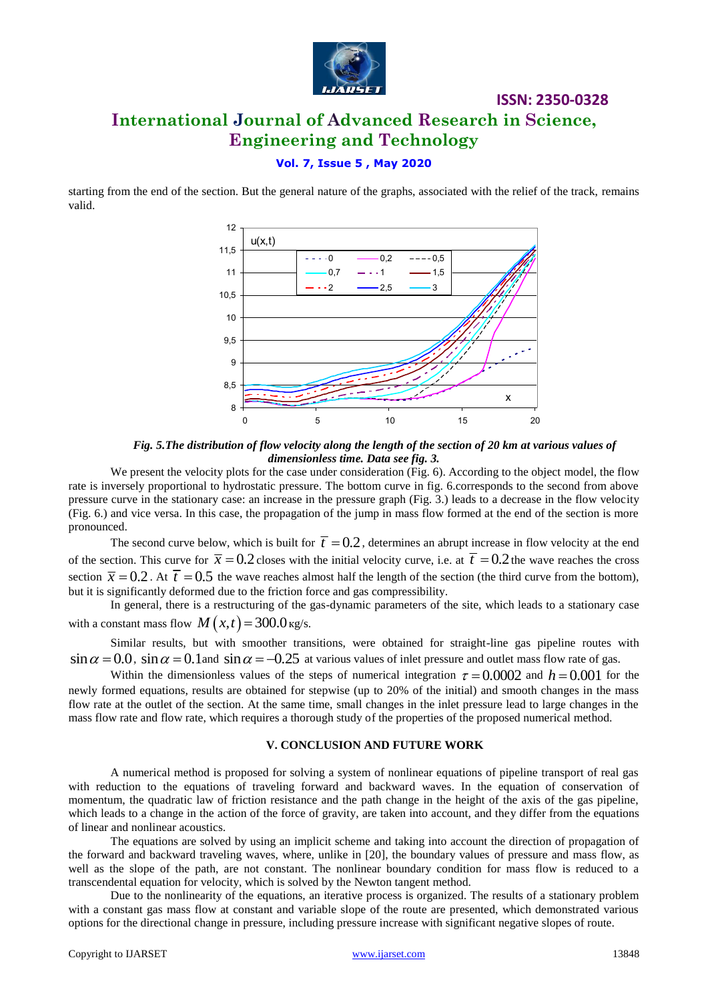

# **International Journal of Advanced Research in Science, Engineering and Technology**

**ISSN: 2350-0328**

### **Vol. 7, Issue 5 , May 2020**

starting from the end of the section. But the general nature of the graphs, associated with the relief of the track, remains valid.



*Fig. 5.The distribution of flow velocity along the length of the section of 20 km at various values of dimensionless time. Data see fig. 3.*

We present the velocity plots for the case under consideration (Fig. 6). According to the object model, the flow rate is inversely proportional to hydrostatic pressure. The bottom curve in fig. 6.corresponds to the second from above pressure curve in the stationary case: an increase in the pressure graph (Fig. 3.) leads to a decrease in the flow velocity (Fig. 6.) and vice versa. In this case, the propagation of the jump in mass flow formed at the end of the section is more pronounced.

The second curve below, which is built for  $\bar{t} = 0.2$ , determines an abrupt increase in flow velocity at the end of the section. This curve for  $\bar{x} = 0.2$  closes with the initial velocity curve, i.e. at  $\bar{t} = 0.2$  the wave reaches the cross section  $\bar{x} = 0.2$ . At  $\bar{t} = 0.5$  the wave reaches almost half the length of the section (the third curve from the bottom), but it is significantly deformed due to the friction force and gas compressibility.

In general, there is a restructuring of the gas-dynamic parameters of the site, which leads to a stationary case with a constant mass flow  $M(x,t) = 300.0$  kg/s.

Similar results, but with smoother transitions, were obtained for straight-line gas pipeline routes with  $\sin \alpha = 0.0$ ,  $\sin \alpha = 0.1$  and  $\sin \alpha = -0.25$  at various values of inlet pressure and outlet mass flow rate of gas.

Within the dimensionless values of the steps of numerical integration  $\tau = 0.0002$  and  $h = 0.001$  for the newly formed equations, results are obtained for stepwise (up to 20% of the initial) and smooth changes in the mass flow rate at the outlet of the section. At the same time, small changes in the inlet pressure lead to large changes in the mass flow rate and flow rate, which requires a thorough study of the properties of the proposed numerical method.

#### **V. CONCLUSION AND FUTURE WORK**

A numerical method is proposed for solving a system of nonlinear equations of pipeline transport of real gas with reduction to the equations of traveling forward and backward waves. In the equation of conservation of momentum, the quadratic law of friction resistance and the path change in the height of the axis of the gas pipeline, which leads to a change in the action of the force of gravity, are taken into account, and they differ from the equations of linear and nonlinear acoustics.

The equations are solved by using an implicit scheme and taking into account the direction of propagation of the forward and backward traveling waves, where, unlike in [20], the boundary values of pressure and mass flow, as well as the slope of the path, are not constant. The nonlinear boundary condition for mass flow is reduced to a transcendental equation for velocity, which is solved by the Newton tangent method.

Due to the nonlinearity of the equations, an iterative process is organized. The results of a stationary problem with a constant gas mass flow at constant and variable slope of the route are presented, which demonstrated various options for the directional change in pressure, including pressure increase with significant negative slopes of route.